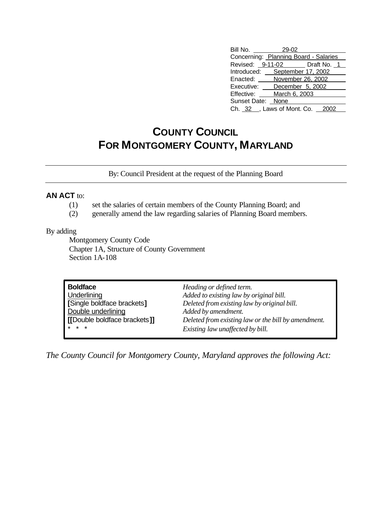| Bill No. 29-02                        |                   |  |  |  |
|---------------------------------------|-------------------|--|--|--|
| Concerning: Planning Board - Salaries |                   |  |  |  |
| Revised: 9-11-02 Draft No. 1          |                   |  |  |  |
| Introduced: September 17, 2002        |                   |  |  |  |
| Enacted:                              | November 26, 2002 |  |  |  |
| Executive:                            | December 5, 2002  |  |  |  |
| Effective:                            | March 6, 2003     |  |  |  |
| Sunset Date: None                     |                   |  |  |  |
| Ch. 32 _, Laws of Mont. Co. 2002      |                   |  |  |  |

## **COUNTY COUNCIL FOR MONTGOMERY COUNTY, MARYLAND**

By: Council President at the request of the Planning Board

## **AN ACT** to:

- (1) set the salaries of certain members of the County Planning Board; and
- (2) generally amend the law regarding salaries of Planning Board members.

## By adding

Montgomery County Code Chapter 1A, Structure of County Government Section 1A-108

| <b>Boldface</b>                     | Heading or defined term.                            |  |
|-------------------------------------|-----------------------------------------------------|--|
| Underlining                         | Added to existing law by original bill.             |  |
| [Single boldface brackets]          | Deleted from existing law by original bill.         |  |
| Double underlining                  | Added by amendment.                                 |  |
| <b>[[Double boldface brackets]]</b> | Deleted from existing law or the bill by amendment. |  |
| $* * *$                             | Existing law unaffected by bill.                    |  |

*The County Council for Montgomery County, Maryland approves the following Act:*